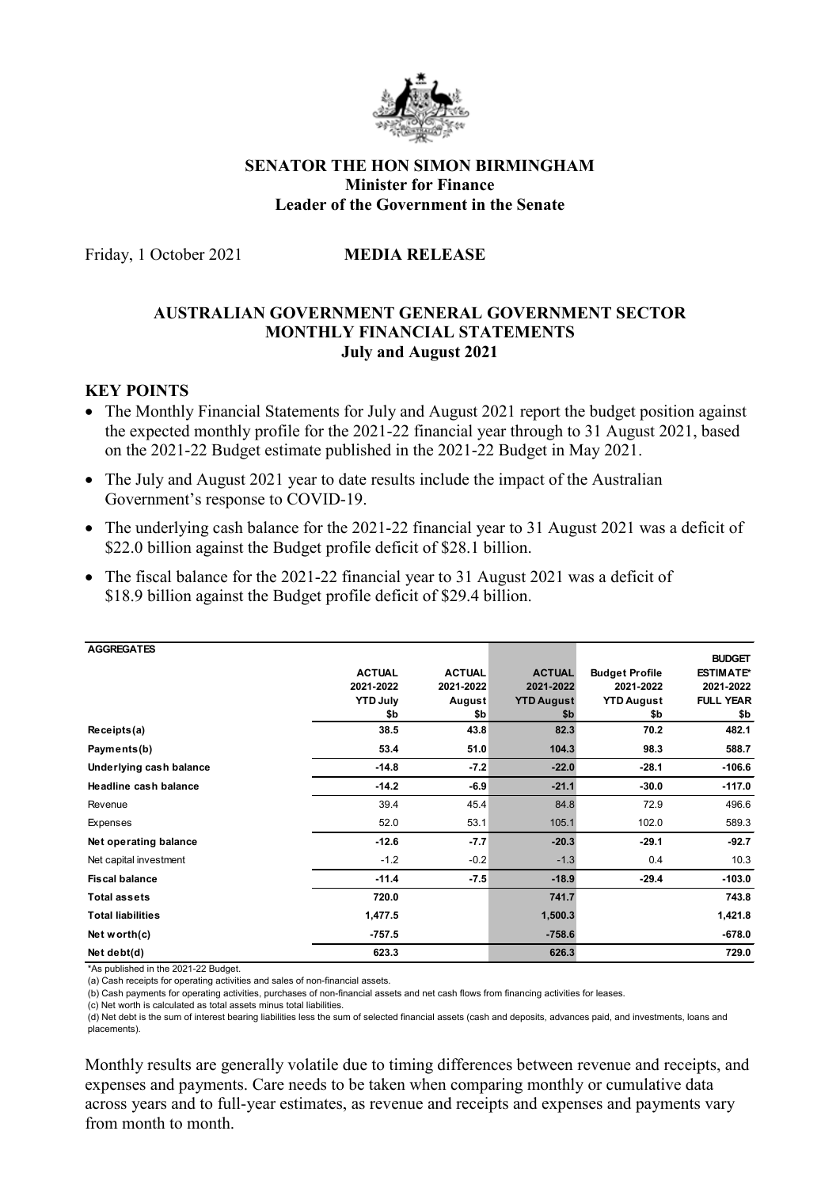

## **SENATOR THE HON SIMON BIRMINGHAM Minister for Finance Leader of the Government in the Senate**

Friday, 1 October 2021 **MEDIA RELEASE**

# **AUSTRALIAN GOVERNMENT GENERAL GOVERNMENT SECTOR MONTHLY FINANCIAL STATEMENTS July and August 2021**

# **KEY POINTS**

- The Monthly Financial Statements for July and August 2021 report the budget position against the expected monthly profile for the 2021-22 financial year through to 31 August 2021, based on the 2021-22 Budget estimate published in the 2021-22 Budget in May 2021.
- The July and August 2021 year to date results include the impact of the Australian Government's response to COVID-19.
- The underlying cash balance for the 2021-22 financial year to 31 August 2021 was a deficit of \$22.0 billion against the Budget profile deficit of \$28.1 billion.
- The fiscal balance for the 2021-22 financial year to 31 August 2021 was a deficit of \$18.9 billion against the Budget profile deficit of \$29.4 billion.

| <b>AGGREGATES</b>            |                 |               |                   |                       |                  |
|------------------------------|-----------------|---------------|-------------------|-----------------------|------------------|
|                              |                 |               |                   |                       | <b>BUDGET</b>    |
|                              | <b>ACTUAL</b>   | <b>ACTUAL</b> | <b>ACTUAL</b>     | <b>Budget Profile</b> | <b>ESTIMATE*</b> |
|                              | 2021-2022       | 2021-2022     | 2021-2022         | 2021-2022             | 2021-2022        |
|                              | <b>YTD July</b> | August        | <b>YTD August</b> | <b>YTD August</b>     | <b>FULL YEAR</b> |
|                              | \$b             | \$b           | \$b               | \$b                   | \$b              |
| Receipts(a)                  | 38.5            | 43.8          | 82.3              | 70.2                  | 482.1            |
| Payments(b)                  | 53.4            | 51.0          | 104.3             | 98.3                  | 588.7            |
| Underlying cash balance      | $-14.8$         | $-7.2$        | $-22.0$           | $-28.1$               | $-106.6$         |
| <b>Headline cash balance</b> | $-14.2$         | $-6.9$        | $-21.1$           | $-30.0$               | $-117.0$         |
| Revenue                      | 39.4            | 45.4          | 84.8              | 72.9                  | 496.6            |
| Expenses                     | 52.0            | 53.1          | 105.1             | 102.0                 | 589.3            |
| Net operating balance        | $-12.6$         | $-7.7$        | $-20.3$           | $-29.1$               | $-92.7$          |
| Net capital investment       | $-1.2$          | $-0.2$        | $-1.3$            | 0.4                   | 10.3             |
| <b>Fiscal balance</b>        | $-11.4$         | $-7.5$        | $-18.9$           | $-29.4$               | $-103.0$         |
| <b>Total assets</b>          | 720.0           |               | 741.7             |                       | 743.8            |
| <b>Total liabilities</b>     | 1,477.5         |               | 1,500.3           |                       | 1,421.8          |
| Net worth $(c)$              | $-757.5$        |               | $-758.6$          |                       | $-678.0$         |
| Net debt(d)                  | 623.3           |               | 626.3             |                       | 729.0            |

\*As published in the 2021-22 Budget.

(a) Cash receipts for operating activities and sales of non-financial assets.

(c) Net worth is calculated as total assets minus total liabilities.

(d) Net debt is the sum of interest bearing liabilities less the sum of selected financial assets (cash and deposits, advances paid, and investments, loans and placements).

Monthly results are generally volatile due to timing differences between revenue and receipts, and expenses and payments. Care needs to be taken when comparing monthly or cumulative data across years and to full-year estimates, as revenue and receipts and expenses and payments vary from month to month.

<sup>(</sup>b) Cash payments for operating activities, purchases of non-financial assets and net cash flows from financing activities for leases.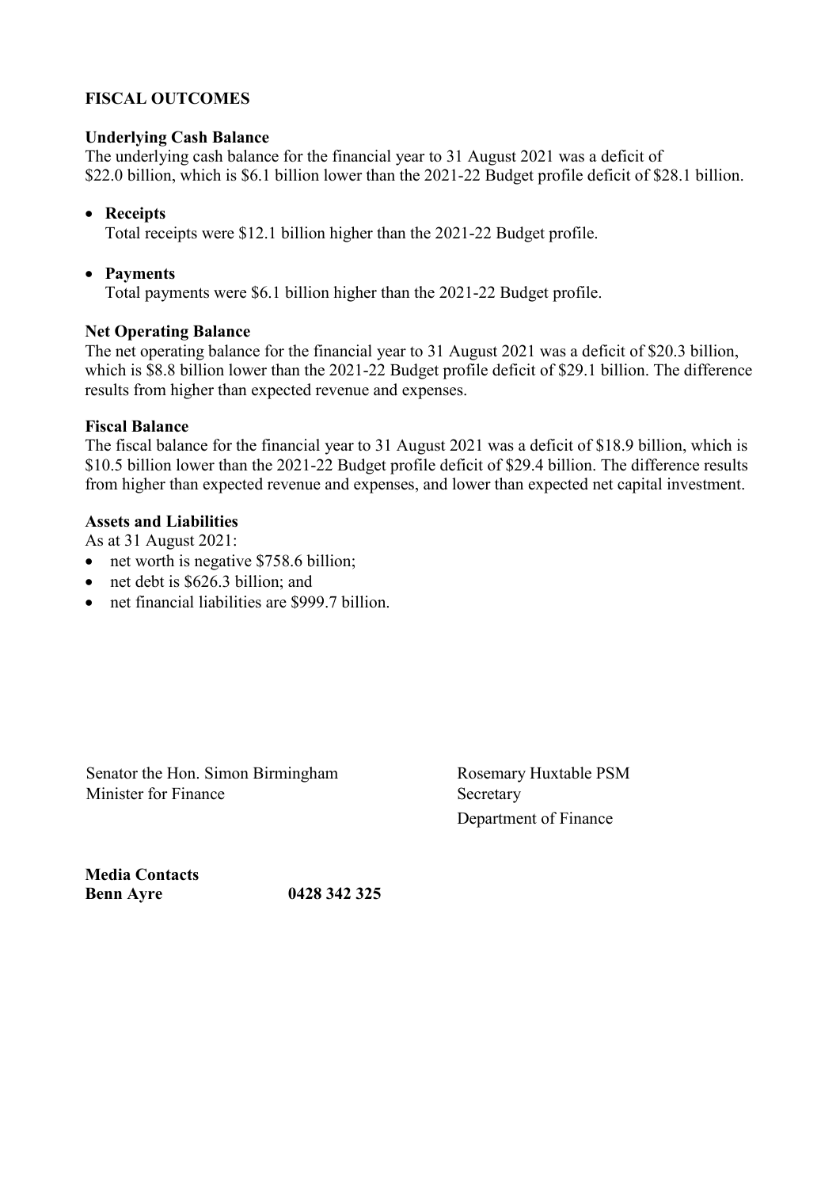# **FISCAL OUTCOMES**

## **Underlying Cash Balance**

The underlying cash balance for the financial year to 31 August 2021 was a deficit of \$22.0 billion, which is \$6.1 billion lower than the 2021-22 Budget profile deficit of \$28.1 billion.

# • **Receipts**

Total receipts were \$12.1 billion higher than the 2021-22 Budget profile.

# • **Payments**

Total payments were \$6.1 billion higher than the 2021-22 Budget profile.

# **Net Operating Balance**

The net operating balance for the financial year to 31 August 2021 was a deficit of \$20.3 billion, which is \$8.8 billion lower than the 2021-22 Budget profile deficit of \$29.1 billion. The difference results from higher than expected revenue and expenses.

## **Fiscal Balance**

The fiscal balance for the financial year to 31 August 2021 was a deficit of \$18.9 billion, which is \$10.5 billion lower than the 2021-22 Budget profile deficit of \$29.4 billion. The difference results from higher than expected revenue and expenses, and lower than expected net capital investment.

# **Assets and Liabilities**

As at 31 August 2021:

- net worth is negative \$758.6 billion;
- net debt is \$626.3 billion; and
- net financial liabilities are \$999.7 billion.

Senator the Hon. Simon Birmingham Rosemary Huxtable PSM Minister for Finance Secretary

Department of Finance

**Media Contacts Benn Ayre 0428 342 325**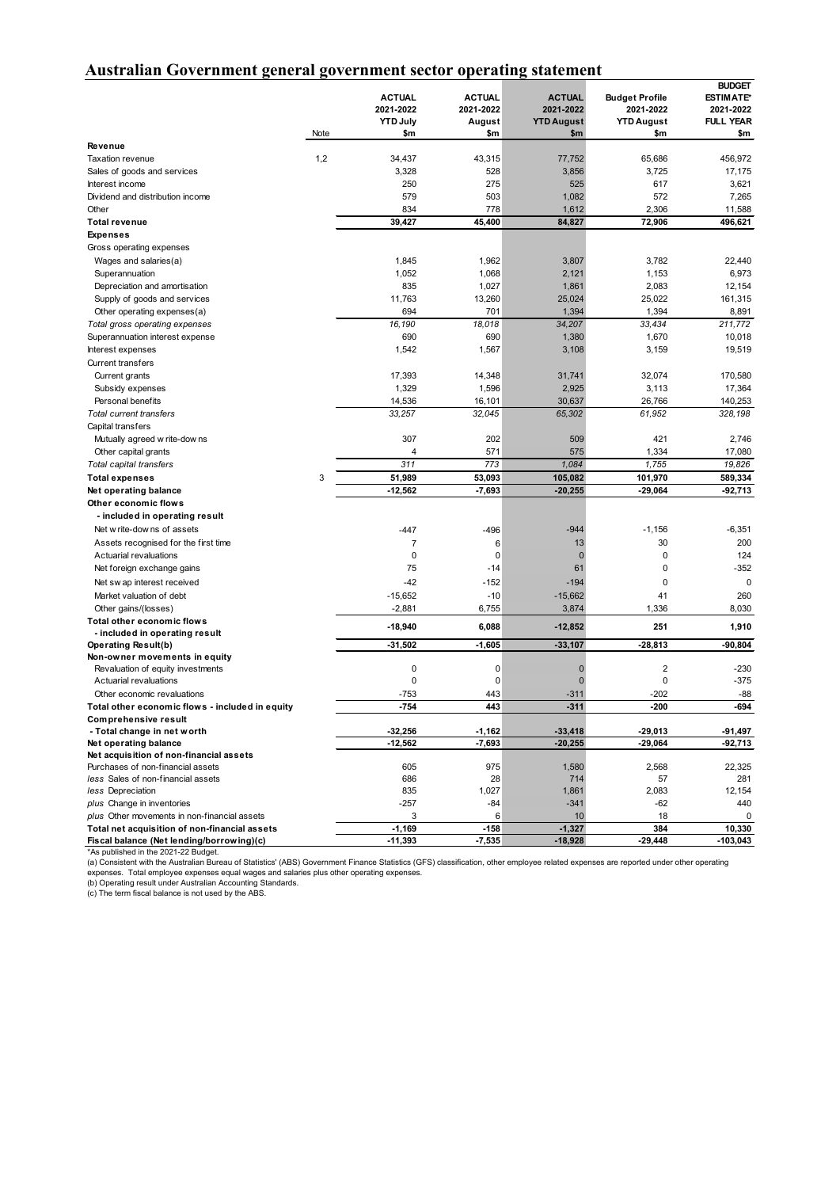# **Australian Government general government sector operating statement**

|                                                                    |      | <b>ACTUAL</b><br>2021-2022<br><b>YTD July</b> | <b>ACTUAL</b><br>2021-2022<br>August | <b>ACTUAL</b><br>2021-2022<br><b>YTD August</b> | <b>Budget Profile</b><br>2021-2022<br><b>YTD August</b> | <b>BUDGET</b><br><b>ESTIMATE*</b><br>2021-2022<br><b>FULL YEAR</b> |
|--------------------------------------------------------------------|------|-----------------------------------------------|--------------------------------------|-------------------------------------------------|---------------------------------------------------------|--------------------------------------------------------------------|
|                                                                    | Note | \$m                                           | \$m                                  | \$m                                             | \$m                                                     | \$m                                                                |
| Revenue<br>Taxation revenue                                        | 1,2  | 34,437                                        | 43,315                               | 77,752                                          | 65,686                                                  | 456,972                                                            |
| Sales of goods and services                                        |      | 3,328                                         | 528                                  | 3,856                                           | 3,725                                                   | 17,175                                                             |
| Interest income                                                    |      | 250                                           | 275                                  | 525                                             | 617                                                     | 3,621                                                              |
| Dividend and distribution income                                   |      | 579                                           | 503                                  | 1,082                                           | 572                                                     | 7,265                                                              |
| Other                                                              |      | 834                                           | 778                                  | 1,612                                           | 2,306                                                   | 11,588                                                             |
| <b>Total revenue</b>                                               |      | 39,427                                        | 45,400                               | 84,827                                          | 72,906                                                  | 496,621                                                            |
| <b>Expenses</b>                                                    |      |                                               |                                      |                                                 |                                                         |                                                                    |
| Gross operating expenses                                           |      |                                               |                                      |                                                 |                                                         |                                                                    |
| Wages and salaries(a)                                              |      | 1,845                                         | 1,962                                | 3,807                                           | 3,782                                                   | 22,440                                                             |
| Superannuation                                                     |      | 1,052                                         | 1,068                                | 2,121                                           | 1,153                                                   | 6,973                                                              |
| Depreciation and amortisation                                      |      | 835                                           | 1,027                                | 1,861                                           | 2,083                                                   | 12,154                                                             |
| Supply of goods and services                                       |      | 11,763                                        | 13,260                               | 25,024                                          | 25,022                                                  | 161,315                                                            |
| Other operating expenses(a)                                        |      | 694                                           | 701                                  | 1,394                                           | 1,394                                                   | 8,891                                                              |
| Total gross operating expenses                                     |      | 16,190                                        | 18,018                               | 34,207                                          | 33,434                                                  | 211,772                                                            |
| Superannuation interest expense                                    |      | 690                                           | 690                                  | 1,380                                           | 1,670                                                   | 10,018                                                             |
| Interest expenses                                                  |      | 1,542                                         | 1,567                                | 3,108                                           | 3,159                                                   | 19,519                                                             |
| <b>Current transfers</b>                                           |      |                                               |                                      |                                                 |                                                         |                                                                    |
| Current grants                                                     |      | 17,393<br>1,329                               | 14,348                               | 31,741                                          | 32,074<br>3,113                                         | 170,580                                                            |
| Subsidy expenses<br>Personal benefits                              |      | 14,536                                        | 1,596<br>16,101                      | 2,925<br>30,637                                 | 26,766                                                  | 17,364<br>140,253                                                  |
| <b>Total current transfers</b>                                     |      | 33,257                                        | 32,045                               | 65,302                                          | 61,952                                                  | 328,198                                                            |
| Capital transfers                                                  |      |                                               |                                      |                                                 |                                                         |                                                                    |
| Mutually agreed w rite-dow ns                                      |      | 307                                           | 202                                  | 509                                             | 421                                                     | 2,746                                                              |
| Other capital grants                                               |      | $\overline{4}$                                | 571                                  | 575                                             | 1,334                                                   | 17,080                                                             |
| Total capital transfers                                            |      | 311                                           | 773                                  | 1,084                                           | 1,755                                                   | 19.826                                                             |
| <b>Total expenses</b>                                              | 3    | 51,989                                        | 53,093                               | 105,082                                         | 101,970                                                 | 589,334                                                            |
| Net operating balance                                              |      | $-12,562$                                     | $-7,693$                             | $-20,255$                                       | $-29,064$                                               | -92,713                                                            |
| Other economic flows                                               |      |                                               |                                      |                                                 |                                                         |                                                                    |
| - included in operating result                                     |      |                                               |                                      |                                                 |                                                         |                                                                    |
| Net w rite-dow ns of assets                                        |      | $-447$                                        | $-496$                               | $-944$                                          | $-1,156$                                                | $-6,351$                                                           |
| Assets recognised for the first time                               |      | $\overline{7}$                                | 6                                    | 13                                              | 30                                                      | 200                                                                |
| Actuarial revaluations                                             |      | 0                                             | $\mathbf 0$                          | $\mathbf 0$                                     | 0                                                       | 124                                                                |
| Net foreign exchange gains                                         |      | 75                                            | $-14$                                | 61                                              | 0                                                       | $-352$                                                             |
| Net sw ap interest received                                        |      | $-42$                                         | $-152$                               | $-194$                                          | 0                                                       | $\mathbf 0$                                                        |
| Market valuation of debt                                           |      | $-15,652$                                     | $-10$                                | $-15,662$                                       | 41                                                      | 260                                                                |
| Other gains/(losses)                                               |      | $-2,881$                                      | 6,755                                | 3,874                                           | 1,336                                                   | 8,030                                                              |
| Total other economic flows                                         |      | $-18,940$                                     | 6,088                                | $-12,852$                                       | 251                                                     | 1,910                                                              |
| - included in operating result                                     |      |                                               |                                      |                                                 |                                                         |                                                                    |
| Operating Result(b)                                                |      | $-31,502$                                     | $-1,605$                             | $-33,107$                                       | $-28,813$                                               | -90,804                                                            |
| Non-owner movements in equity<br>Revaluation of equity investments |      | 0                                             | $\mathbf 0$                          | $\mathbf{0}$                                    | $\overline{2}$                                          | $-230$                                                             |
| Actuarial revaluations                                             |      | 0                                             | $\mathbf 0$                          | $\mathbf 0$                                     | 0                                                       | $-375$                                                             |
| Other economic revaluations                                        |      | $-753$                                        | 443                                  | $-311$                                          | $-202$                                                  | $-88$                                                              |
| Total other economic flows - included in equity                    |      | $-754$                                        | 443                                  | $-311$                                          | $-200$                                                  | $-694$                                                             |
| <b>Comprehensive result</b>                                        |      |                                               |                                      |                                                 |                                                         |                                                                    |
| - Total change in net worth                                        |      | $-32,256$                                     | $-1,162$                             | $-33,418$                                       | $-29,013$                                               | $-91,497$                                                          |
| Net operating balance                                              |      | $-12,562$                                     | $-7,693$                             | $-20,255$                                       | $-29,064$                                               | -92,713                                                            |
| Net acquisition of non-financial assets                            |      |                                               |                                      |                                                 |                                                         |                                                                    |
| Purchases of non-financial assets                                  |      | 605                                           | 975                                  | 1,580                                           | 2,568                                                   | 22,325                                                             |
| less Sales of non-financial assets                                 |      | 686                                           | 28                                   | 714                                             | 57                                                      | 281                                                                |
| less Depreciation<br>plus Change in inventories                    |      | 835<br>$-257$                                 | 1,027<br>$-84$                       | 1,861<br>$-341$                                 | 2,083<br>-62                                            | 12,154<br>440                                                      |
| plus Other movements in non-financial assets                       |      | 3                                             | 6                                    | 10                                              | 18                                                      | $\mathbf 0$                                                        |
| Total net acquisition of non-financial assets                      |      | $-1,169$                                      | $-158$                               | $-1,327$                                        | 384                                                     | 10,330                                                             |
| Fiscal balance (Net lending/borrowing)(c)                          |      | $-11,393$                                     | $-7,535$                             | $-18,928$                                       | $-29,448$                                               | $-103,043$                                                         |

**Fiscal balance (Net lending/borrowing)(c) -11,393 -7,535 -18,928 -29,448 -103,043** \*As published in the 2021-22 Budget. (a) Consistent with the Australian Bureau of Statistics' (ABS) Government Finance Statistics (GFS) classification, other employee related expenses are reported under other operating expenses. Total employee expenses equal wages and salaries plus other operating expenses.<br>(b) Operating result under Australian Accounting Standards.<br>(c) The term fiscal balance is not used by the ABS.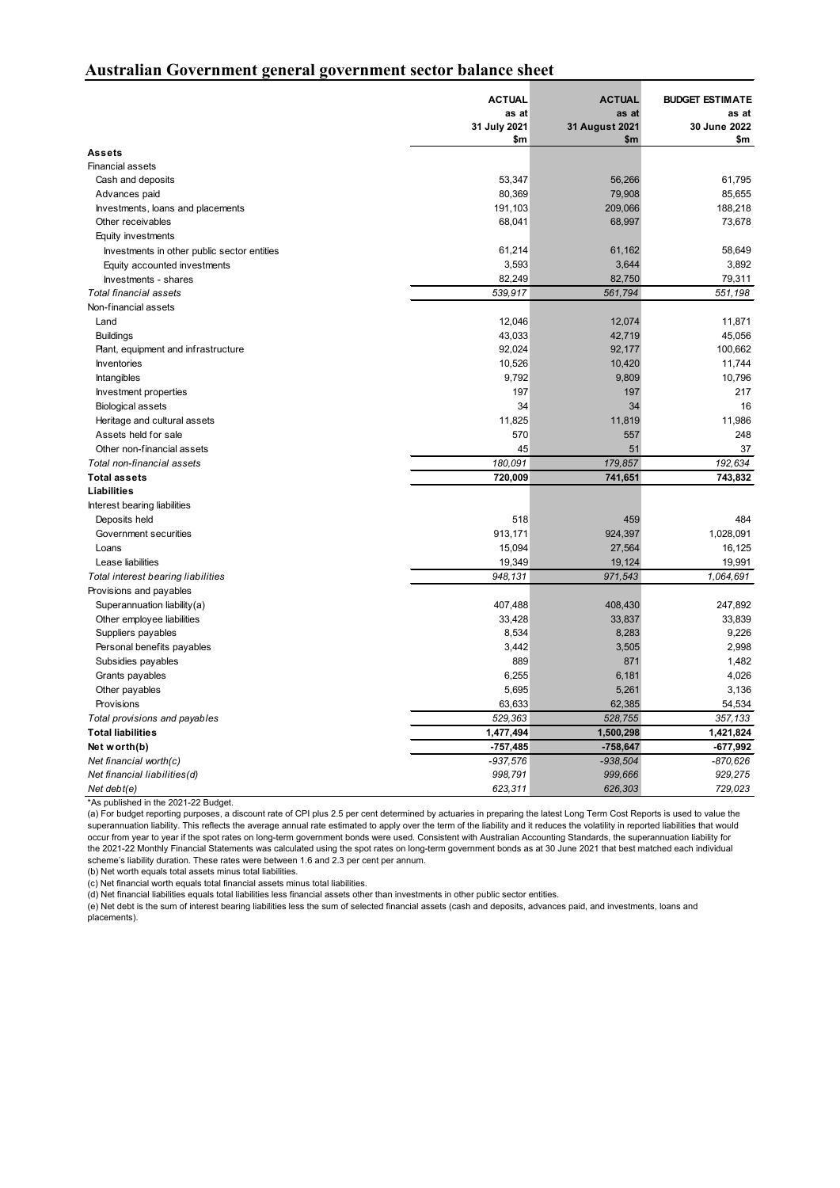#### **Australian Government general government sector balance sheet**

|                                             | <b>ACTUAL</b> | <b>ACTUAL</b>  | <b>BUDGET ESTIMATE</b> |
|---------------------------------------------|---------------|----------------|------------------------|
|                                             | as at         | as at          | as at                  |
|                                             | 31 July 2021  | 31 August 2021 | 30 June 2022           |
|                                             | \$m           | \$m            | \$m                    |
| <b>Assets</b>                               |               |                |                        |
| <b>Financial assets</b>                     |               |                |                        |
| Cash and deposits                           | 53,347        | 56,266         | 61,795                 |
| Advances paid                               | 80,369        | 79,908         | 85,655                 |
| Investments, loans and placements           | 191,103       | 209,066        | 188,218                |
| Other receivables                           | 68,041        | 68,997         | 73,678                 |
| Equity investments                          |               |                |                        |
| Investments in other public sector entities | 61,214        | 61,162         | 58,649                 |
| Equity accounted investments                | 3,593         | 3,644          | 3,892                  |
| Investments - shares                        | 82,249        | 82,750         | 79,311                 |
| <b>Total financial assets</b>               | 539,917       | 561,794        | 551,198                |
| Non-financial assets                        |               |                |                        |
| Land                                        | 12,046        | 12,074         | 11,871                 |
| <b>Buildings</b>                            | 43,033        | 42,719         | 45,056                 |
| Plant, equipment and infrastructure         | 92,024        | 92,177         | 100,662                |
| Inventories                                 | 10,526        | 10,420         | 11,744                 |
| <b>Intangibles</b>                          | 9,792         | 9,809          | 10,796                 |
| Investment properties                       | 197           | 197            | 217                    |
| <b>Biological assets</b>                    | 34            | 34             | 16                     |
| Heritage and cultural assets                | 11,825        | 11,819         | 11,986                 |
| Assets held for sale                        | 570           | 557            | 248                    |
| Other non-financial assets                  | 45            | 51             | 37                     |
| Total non-financial assets                  | 180,091       | 179,857        | 192,634                |
| <b>Total assets</b>                         | 720,009       | 741,651        | 743,832                |
| Liabilities                                 |               |                |                        |
| Interest bearing liabilities                |               |                |                        |
| Deposits held                               | 518           | 459            | 484                    |
| Government securities                       | 913,171       | 924,397        | 1,028,091              |
| Loans                                       | 15,094        | 27,564         | 16,125                 |
| Lease liabilities                           | 19,349        | 19,124         | 19,991                 |
| Total interest bearing liabilities          | 948,131       | 971,543        | 1,064,691              |
| Provisions and payables                     |               |                |                        |
| Superannuation liability(a)                 | 407,488       | 408,430        | 247,892                |
| Other employee liabilities                  | 33,428        | 33,837         | 33,839                 |
| Suppliers payables                          | 8,534         | 8,283          | 9,226                  |
| Personal benefits payables                  | 3,442         | 3,505          | 2,998                  |
| Subsidies payables                          | 889           | 871            | 1,482                  |
| Grants payables                             | 6,255         | 6,181          | 4,026                  |
| Other payables                              | 5,695         | 5,261          | 3,136                  |
| Provisions                                  | 63,633        | 62,385         | 54,534                 |
| Total provisions and payables               | 529,363       | 528,755        | 357,133                |
| <b>Total liabilities</b>                    | 1,477,494     | 1,500,298      | 1,421,824              |
| Net worth(b)                                | $-757,485$    | $-758,647$     | -677,992               |
| Net financial worth $(c)$                   | $-937,576$    | $-938,504$     | -870,626               |
| Net financial liabilities(d)                | 998,791       | 999,666        | 929,275                |
| Net debt $(e)$                              | 623,311       | 626,303        | 729,023                |

\*As published in the 2021-22 Budget.

(a) For budget reporting purposes, a discount rate of CPI plus 2.5 per cent determined by actuaries in preparing the latest Long Term Cost Reports is used to value the superannuation liability. This reflects the average annual rate estimated to apply over the term of the liability and it reduces the volatility in reported liabilities that would occur from year to year if the spot rates on long-term government bonds were used. Consistent with Australian Accounting Standards, the superannuation liability for the 2021-22 Monthly Financial Statements was calculated using the spot rates on long-term government bonds as at 30 June 2021 that best matched each individual scheme's liability duration. These rates were between 1.6 and 2.3 per cent per annum.

(b) Net worth equals total assets minus total liabilities.

(c) Net financial worth equals total financial assets minus total liabilities.

(d) Net financial liabilities equals total liabilities less financial assets other than investments in other public sector entities.

(e) Net debt is the sum of interest bearing liabilities less the sum of selected financial assets (cash and deposits, advances paid, and investments, loans and placements).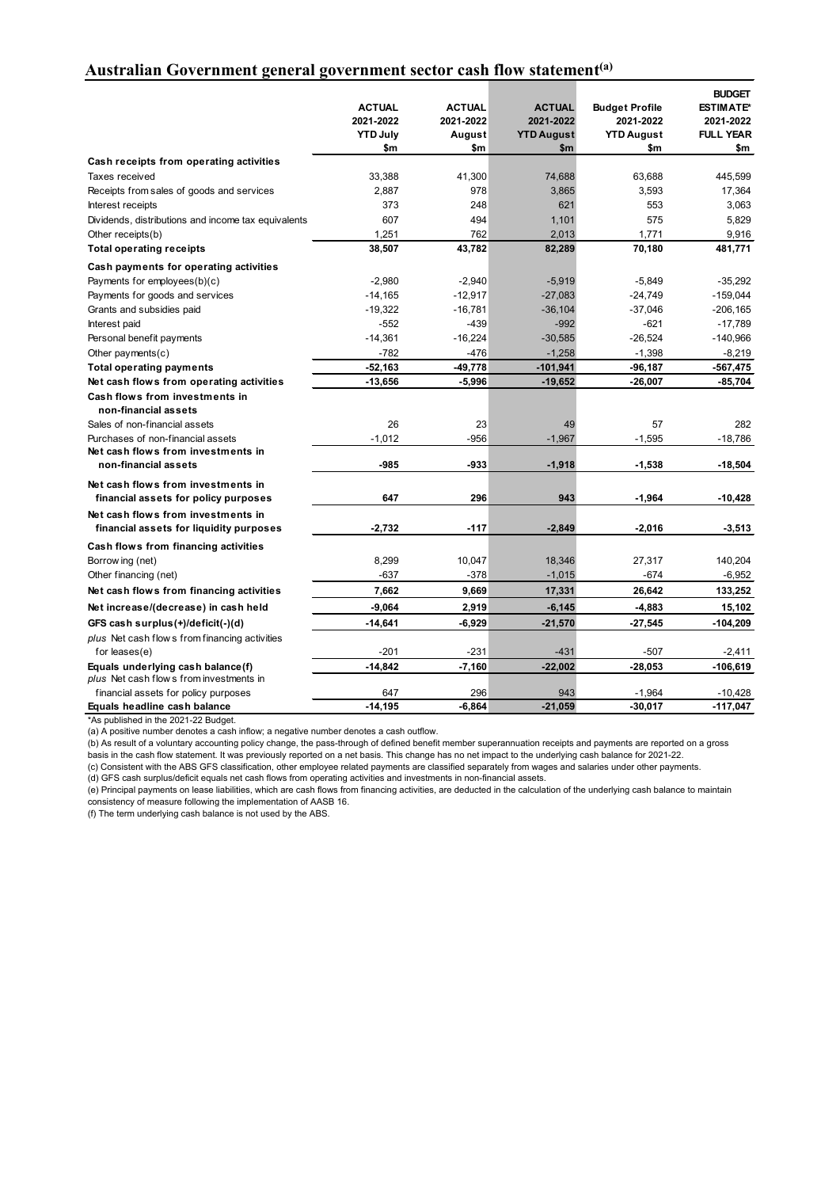## **Australian Government general government sector cash flow statement(a)**

|                                                        |                 |               |                   |                       | <b>BUDGET</b>    |
|--------------------------------------------------------|-----------------|---------------|-------------------|-----------------------|------------------|
|                                                        | <b>ACTUAL</b>   | <b>ACTUAL</b> | <b>ACTUAL</b>     | <b>Budget Profile</b> | <b>ESTIMATE*</b> |
|                                                        | 2021-2022       | 2021-2022     | 2021-2022         | 2021-2022             | 2021-2022        |
|                                                        | <b>YTD July</b> | August        | <b>YTD August</b> | <b>YTD August</b>     | <b>FULL YEAR</b> |
|                                                        | \$m             | \$m           | \$m               | \$m                   | \$m              |
| Cash receipts from operating activities                |                 |               |                   |                       |                  |
| Taxes received                                         | 33,388          | 41,300        | 74,688            | 63,688                | 445,599          |
| Receipts from sales of goods and services              | 2,887           | 978           | 3,865             | 3,593                 | 17,364           |
| Interest receipts                                      | 373             | 248           | 621               | 553                   | 3,063            |
| Dividends, distributions and income tax equivalents    | 607             | 494           | 1,101             | 575                   | 5,829            |
| Other receipts(b)                                      | 1,251           | 762           | 2,013             | 1,771                 | 9,916            |
| <b>Total operating receipts</b>                        | 38,507          | 43,782        | 82,289            | 70,180                | 481,771          |
| Cash payments for operating activities                 |                 |               |                   |                       |                  |
| Payments for employees(b)(c)                           | $-2,980$        | $-2,940$      | $-5,919$          | $-5.849$              | $-35.292$        |
| Payments for goods and services                        | $-14,165$       | $-12,917$     | $-27,083$         | $-24,749$             | $-159,044$       |
| Grants and subsidies paid                              | $-19,322$       | $-16,781$     | $-36,104$         | $-37,046$             | $-206,165$       |
| Interest paid                                          | $-552$          | $-439$        | $-992$            | $-621$                | $-17,789$        |
| Personal benefit payments                              | $-14,361$       | $-16,224$     | $-30,585$         | $-26,524$             | $-140,966$       |
| Other payments $(c)$                                   | $-782$          | $-476$        | $-1,258$          | $-1,398$              | $-8,219$         |
| <b>Total operating payments</b>                        | $-52,163$       | $-49,778$     | $-101,941$        | $-96,187$             | $-567,475$       |
| Net cash flows from operating activities               | $-13,656$       | -5,996        | $-19,652$         | $-26,007$             | -85,704          |
| Cash flows from investments in<br>non-financial assets |                 |               |                   |                       |                  |
| Sales of non-financial assets                          | 26              | 23            | 49                | 57                    | 282              |
| Purchases of non-financial assets                      | $-1,012$        | $-956$        | $-1,967$          | $-1,595$              | $-18,786$        |
| Net cash flows from investments in                     |                 |               |                   |                       |                  |
| non-financial assets                                   | $-985$          | -933          | $-1,918$          | $-1,538$              | $-18,504$        |
| Net cash flows from investments in                     |                 |               |                   |                       |                  |
| financial assets for policy purposes                   | 647             | 296           | 943               | $-1,964$              | $-10,428$        |
| Net cash flows from investments in                     |                 |               |                   |                       |                  |
| financial assets for liquidity purposes                | $-2,732$        | $-117$        | $-2,849$          | $-2,016$              | $-3,513$         |
| Cash flows from financing activities                   |                 |               |                   |                       |                  |
| Borrow ing (net)                                       | 8,299           | 10,047        | 18,346            | 27,317                | 140,204          |
| Other financing (net)                                  | $-637$          | $-378$        | $-1,015$          | $-674$                | $-6,952$         |
| Net cash flows from financing activities               | 7,662           | 9,669         | 17,331            | 26,642                | 133,252          |
| Net increase/(decrease) in cash held                   | $-9,064$        | 2,919         | $-6,145$          | $-4,883$              | 15,102           |
| GFS cash surplus(+)/deficit(-)(d)                      | $-14,641$       | $-6,929$      | $-21,570$         | $-27,545$             | -104,209         |
| plus Net cash flow s from financing activities         |                 |               |                   |                       |                  |
| for $leases(e)$                                        | $-201$          | $-231$        | $-431$            | $-507$                | $-2,411$         |
| Equals underlying cash balance(f)                      | $-14,842$       | $-7,160$      | $-22,002$         | $-28,053$             | $-106,619$       |
| plus Net cash flows from investments in                |                 |               |                   |                       |                  |
| financial assets for policy purposes                   | 647             | 296           | 943               | $-1,964$              | $-10,428$        |
| Equals headline cash balance                           | $-14,195$       | $-6,864$      | $-21,059$         | $-30,017$             | $-117,047$       |

\*As published in the 2021-22 Budget.

(a) A positive number denotes a cash inflow; a negative number denotes a cash outflow.

(b) As result of a voluntary accounting policy change, the pass-through of defined benefit member superannuation receipts and payments are reported on a gross basis in the cash flow statement. It was previously reported on a net basis. This change has no net impact to the underlying cash balance for 2021-22.

(c) Consistent with the ABS GFS classification, other employee related payments are classified separately from wages and salaries under other payments.

(d) GFS cash surplus/deficit equals net cash flows from operating activities and investments in non-financial assets.

(e) Principal payments on lease liabilities, which are cash flows from financing activities, are deducted in the calculation of the underlying cash balance to maintain consistency of measure following the implementation of AASB 16.

(f) The term underlying cash balance is not used by the ABS.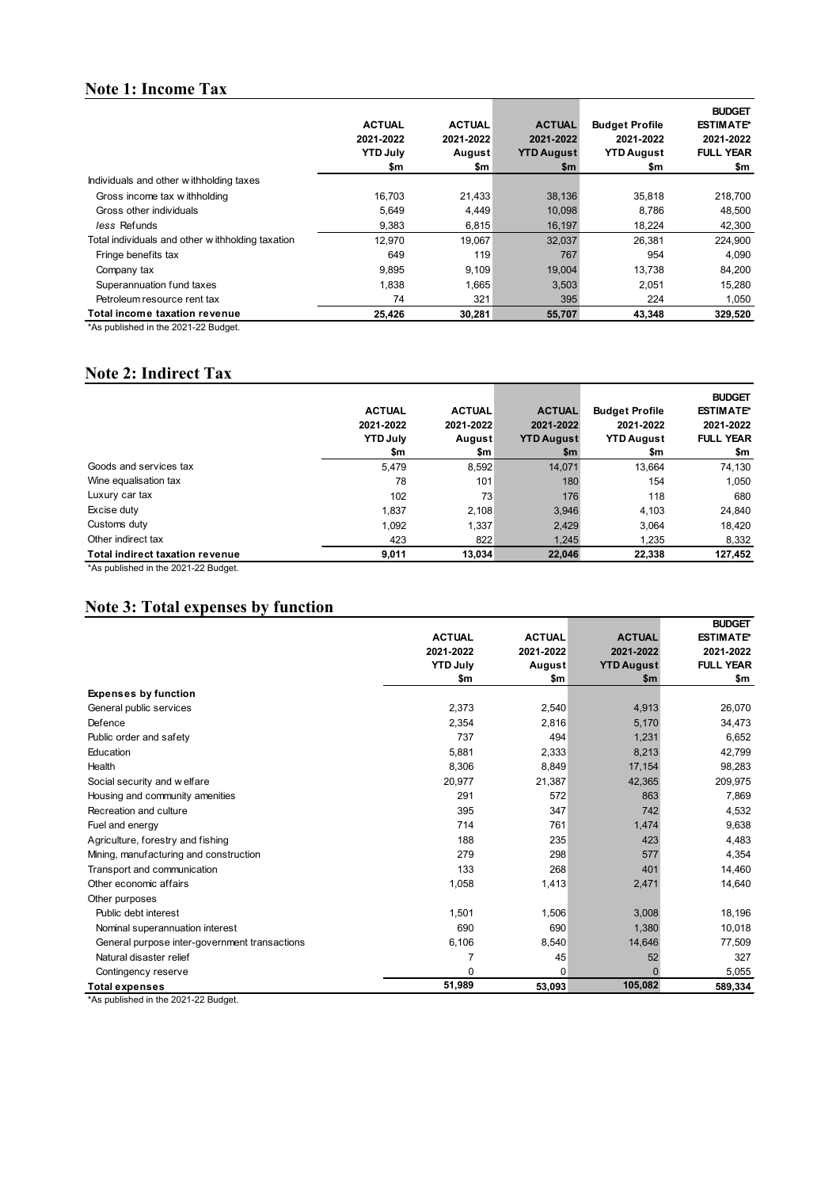# **Note 1: Income Tax**

|                                                  | <b>ACTUAL</b><br>2021-2022<br><b>YTD July</b><br>\$m | <b>ACTUAL</b><br>2021-2022<br>August<br>\$m | <b>ACTUAL</b><br>2021-2022<br><b>YTD August</b><br>\$m | <b>Budget Profile</b><br>2021-2022<br><b>YTD August</b><br>\$m | <b>BUDGET</b><br><b>ESTIMATE*</b><br>2021-2022<br><b>FULL YEAR</b><br>\$m |
|--------------------------------------------------|------------------------------------------------------|---------------------------------------------|--------------------------------------------------------|----------------------------------------------------------------|---------------------------------------------------------------------------|
| Individuals and other withholding taxes          |                                                      |                                             |                                                        |                                                                |                                                                           |
| Gross income tax withholding                     | 16.703                                               | 21,433                                      | 38,136                                                 | 35.818                                                         | 218,700                                                                   |
| Gross other individuals                          | 5,649                                                | 4,449                                       | 10,098                                                 | 8,786                                                          | 48,500                                                                    |
| less Refunds                                     | 9.383                                                | 6,815                                       | 16,197                                                 | 18.224                                                         | 42,300                                                                    |
| Total individuals and other withholding taxation | 12,970                                               | 19,067                                      | 32,037                                                 | 26,381                                                         | 224,900                                                                   |
| Fringe benefits tax                              | 649                                                  | 119                                         | 767                                                    | 954                                                            | 4.090                                                                     |
| Company tax                                      | 9.895                                                | 9,109                                       | 19,004                                                 | 13.738                                                         | 84,200                                                                    |
| Superannuation fund taxes                        | 1.838                                                | 1,665                                       | 3,503                                                  | 2.051                                                          | 15,280                                                                    |
| Petroleum resource rent tax                      | 74                                                   | 321                                         | 395                                                    | 224                                                            | 1,050                                                                     |
| Total income taxation revenue                    | 25.426                                               | 30.281                                      | 55,707                                                 | 43.348                                                         | 329,520                                                                   |

\*As published in the 2021-22 Budget.

### **Note 2: Indirect Tax**

|                                        | <b>ACTUAL</b><br>2021-2022<br><b>YTD July</b><br>\$m | <b>ACTUAL</b><br>2021-2022<br>August<br>\$m | <b>ACTUAL</b><br>2021-2022<br><b>YTD August</b><br>\$m | <b>Budget Profile</b><br>2021-2022<br><b>YTD August</b><br>\$m | <b>BUDGET</b><br><b>ESTIMATE*</b><br>2021-2022<br><b>FULL YEAR</b><br>\$m |
|----------------------------------------|------------------------------------------------------|---------------------------------------------|--------------------------------------------------------|----------------------------------------------------------------|---------------------------------------------------------------------------|
| Goods and services tax                 | 5,479                                                | 8,592                                       | 14,071                                                 | 13,664                                                         | 74,130                                                                    |
| Wine equalisation tax                  | 78                                                   | 101                                         | 180                                                    | 154                                                            | 1,050                                                                     |
| Luxury car tax                         | 102                                                  | 73                                          | 176                                                    | 118                                                            | 680                                                                       |
| Excise duty                            | 1,837                                                | 2.108                                       | 3.946                                                  | 4,103                                                          | 24.840                                                                    |
| Customs duty                           | 1,092                                                | 1,337                                       | 2,429                                                  | 3,064                                                          | 18,420                                                                    |
| Other indirect tax                     | 423                                                  | 822                                         | 1.245                                                  | 1.235                                                          | 8,332                                                                     |
| <b>Total indirect taxation revenue</b> | 9.011                                                | 13.034                                      | 22.046                                                 | 22.338                                                         | 127,452                                                                   |

\*As published in the 2021-22 Budget.

# **Note 3: Total expenses by function**

|                                               |                 |               |                   | <b>BUDGET</b>    |
|-----------------------------------------------|-----------------|---------------|-------------------|------------------|
|                                               | <b>ACTUAL</b>   | <b>ACTUAL</b> | <b>ACTUAL</b>     | <b>ESTIMATE*</b> |
|                                               | 2021-2022       | 2021-2022     | 2021-2022         | 2021-2022        |
|                                               | <b>YTD July</b> | August        | <b>YTD August</b> | <b>FULL YEAR</b> |
|                                               | \$m             | \$m           | \$m               | \$m              |
| <b>Expenses by function</b>                   |                 |               |                   |                  |
| General public services                       | 2,373           | 2,540         | 4,913             | 26,070           |
| Defence                                       | 2,354           | 2,816         | 5,170             | 34,473           |
| Public order and safety                       | 737             | 494           | 1,231             | 6,652            |
| Education                                     | 5,881           | 2,333         | 8,213             | 42,799           |
| Health                                        | 8,306           | 8,849         | 17,154            | 98,283           |
| Social security and welfare                   | 20,977          | 21,387        | 42,365            | 209,975          |
| Housing and community amenities               | 291             | 572           | 863               | 7,869            |
| Recreation and culture                        | 395             | 347           | 742               | 4,532            |
| Fuel and energy                               | 714             | 761           | 1,474             | 9,638            |
| Agriculture, forestry and fishing             | 188             | 235           | 423               | 4,483            |
| Mining, manufacturing and construction        | 279             | 298           | 577               | 4,354            |
| Transport and communication                   | 133             | 268           | 401               | 14,460           |
| Other economic affairs                        | 1,058           | 1,413         | 2,471             | 14,640           |
| Other purposes                                |                 |               |                   |                  |
| Public debt interest                          | 1,501           | 1,506         | 3,008             | 18,196           |
| Nominal superannuation interest               | 690             | 690           | 1,380             | 10,018           |
| General purpose inter-government transactions | 6,106           | 8,540         | 14,646            | 77,509           |
| Natural disaster relief                       | 7               | 45            | 52                | 327              |
| Contingency reserve                           | 0               | $\Omega$      | $\Omega$          | 5,055            |
| <b>Total expenses</b>                         | 51,989          | 53,093        | 105,082           | 589,334          |

\*As published in the 2021-22 Budget.